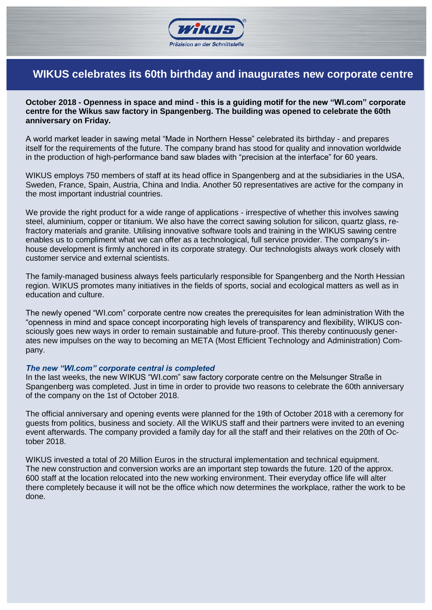

# **WIKUS celebrates its 60th birthday and inaugurates new corporate centre**

**October 2018 - Openness in space and mind - this is a guiding motif for the new "WI.com" corporate centre for the Wikus saw factory in Spangenberg. The building was opened to celebrate the 60th anniversary on Friday.**

A world market leader in sawing metal "Made in Northern Hesse" celebrated its birthday - and prepares itself for the requirements of the future. The company brand has stood for quality and innovation worldwide in the production of high-performance band saw blades with "precision at the interface" for 60 years.

WIKUS employs 750 members of staff at its head office in Spangenberg and at the subsidiaries in the USA, Sweden, France, Spain, Austria, China and India. Another 50 representatives are active for the company in the most important industrial countries.

We provide the right product for a wide range of applications - irrespective of whether this involves sawing steel, aluminium, copper or titanium. We also have the correct sawing solution for silicon, quartz glass, refractory materials and granite. Utilising innovative software tools and training in the WIKUS sawing centre enables us to compliment what we can offer as a technological, full service provider. The company's inhouse development is firmly anchored in its corporate strategy. Our technologists always work closely with customer service and external scientists.

The family-managed business always feels particularly responsible for Spangenberg and the North Hessian region. WIKUS promotes many initiatives in the fields of sports, social and ecological matters as well as in education and culture.

The newly opened "WI.com" corporate centre now creates the prerequisites for lean administration With the "openness in mind and space concept incorporating high levels of transparency and flexibility, WIKUS consciously goes new ways in order to remain sustainable and future-proof. This thereby continuously generates new impulses on the way to becoming an META (Most Efficient Technology and Administration) Company.

#### *The new "WI.com" corporate central is completed*

In the last weeks, the new WIKUS "WI.com" saw factory corporate centre on the Melsunger Straße in Spangenberg was completed. Just in time in order to provide two reasons to celebrate the 60th anniversary of the company on the 1st of October 2018.

The official anniversary and opening events were planned for the 19th of October 2018 with a ceremony for guests from politics, business and society. All the WIKUS staff and their partners were invited to an evening event afterwards. The company provided a family day for all the staff and their relatives on the 20th of October 2018.

WIKUS invested a total of 20 Million Euros in the structural implementation and technical equipment. The new construction and conversion works are an important step towards the future. 120 of the approx. 600 staff at the location relocated into the new working environment. Their everyday office life will alter there completely because it will not be the office which now determines the workplace, rather the work to be done.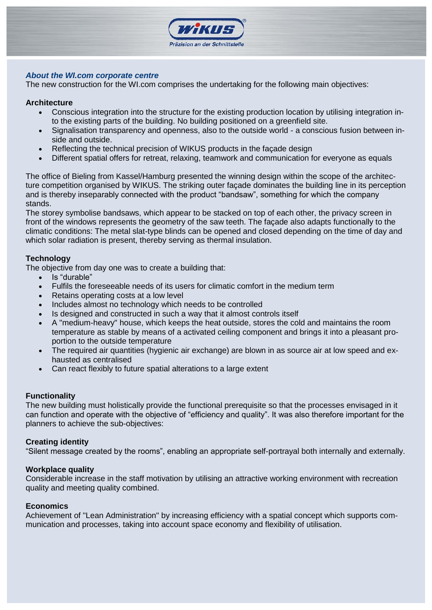

## *About the WI.com corporate centre*

The new construction for the WI.com comprises the undertaking for the following main objectives:

### **Architecture**

- Conscious integration into the structure for the existing production location by utilising integration into the existing parts of the building. No building positioned on a greenfield site.
- Signalisation transparency and openness, also to the outside world a conscious fusion between inside and outside.
- Reflecting the technical precision of WIKUS products in the façade design
- Different spatial offers for retreat, relaxing, teamwork and communication for everyone as equals

The office of Bieling from Kassel/Hamburg presented the winning design within the scope of the architecture competition organised by WIKUS. The striking outer façade dominates the building line in its perception and is thereby inseparably connected with the product "bandsaw", something for which the company stands.

The storey symbolise bandsaws, which appear to be stacked on top of each other, the privacy screen in front of the windows represents the geometry of the saw teeth. The façade also adapts functionally to the climatic conditions: The metal slat-type blinds can be opened and closed depending on the time of day and which solar radiation is present, thereby serving as thermal insulation.

## **Technology**

The objective from day one was to create a building that:

- Is "durable"
- Fulfils the foreseeable needs of its users for climatic comfort in the medium term
- Retains operating costs at a low level
- Includes almost no technology which needs to be controlled
- Is designed and constructed in such a way that it almost controls itself
- A "medium-heavy" house, which keeps the heat outside, stores the cold and maintains the room temperature as stable by means of a activated ceiling component and brings it into a pleasant proportion to the outside temperature
- The required air quantities (hygienic air exchange) are blown in as source air at low speed and exhausted as centralised
- Can react flexibly to future spatial alterations to a large extent

#### **Functionality**

The new building must holistically provide the functional prerequisite so that the processes envisaged in it can function and operate with the objective of "efficiency and quality". It was also therefore important for the planners to achieve the sub-objectives:

#### **Creating identity**

"Silent message created by the rooms", enabling an appropriate self-portrayal both internally and externally.

#### **Workplace quality**

Considerable increase in the staff motivation by utilising an attractive working environment with recreation quality and meeting quality combined.

#### **Economics**

Achievement of "Lean Administration" by increasing efficiency with a spatial concept which supports communication and processes, taking into account space economy and flexibility of utilisation.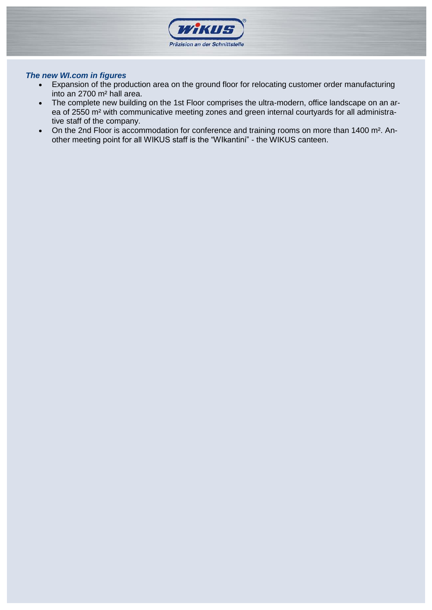

## *The new WI.com in figures*

- Expansion of the production area on the ground floor for relocating customer order manufacturing into an 2700 m² hall area.
- The complete new building on the 1st Floor comprises the ultra-modern, office landscape on an area of 2550 m² with communicative meeting zones and green internal courtyards for all administrative staff of the company.
- On the 2nd Floor is accommodation for conference and training rooms on more than 1400 m<sup>2</sup>. Another meeting point for all WIKUS staff is the "WIkantini" - the WIKUS canteen.